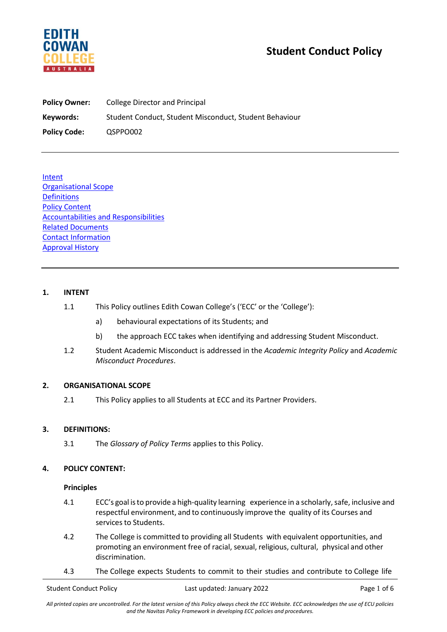

# **Student Conduct Policy**

| <b>Policy Owner:</b> | College Director and Principal                         |
|----------------------|--------------------------------------------------------|
| Keywords:            | Student Conduct, Student Misconduct, Student Behaviour |
| <b>Policy Code:</b>  | QSPPO002                                               |

Intent Organisational Scope **Definitions** Policy Content Accountabilities and Responsibilities Related Documents Contact Information Approval History

# **1. INTENT**

- 1.1 This Policy outlines Edith Cowan College's ('ECC' or the 'College'):
	- a) behavioural expectations of its Students; and
	- b) the approach ECC takes when identifying and addressing Student Misconduct.
- 1.2 Student Academic Misconduct is addressed in the *Academic Integrity Policy* and *Academic Misconduct Procedures*.

## **2. ORGANISATIONAL SCOPE**

2.1 This Policy applies to all Students at ECC and its Partner Providers.

## **3. DEFINITIONS:**

3.1 The *Glossary of Policy Terms* applies to this Policy.

## **4. POLICY CONTENT:**

## **Principles**

- 4.1 ECC's goal is to provide a high-quality learning experience in a scholarly, safe, inclusive and respectful environment, and to continuously improve the quality of its Courses and services to Students.
- 4.2 The College is committed to providing all Students with equivalent opportunities, and promoting an environment free of racial, sexual, religious, cultural, physical and other discrimination.
- 4.3 The College expects Students to commit to their studies and contribute to College life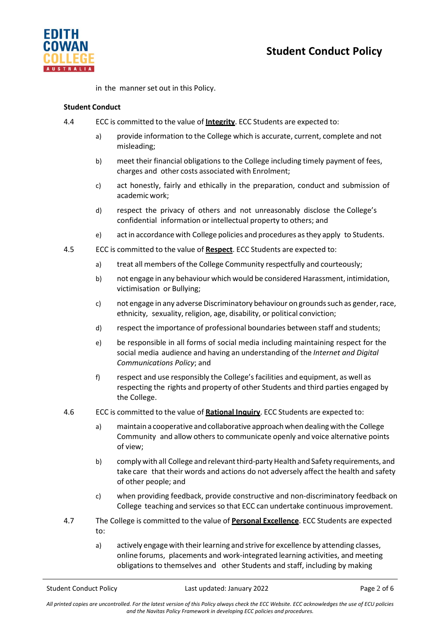

in the manner set out in this Policy.

# **Student Conduct**

- 4.4 ECC is committed to the value of **Integrity**. ECC Students are expected to:
	- a) provide information to the College which is accurate, current, complete and not misleading;
	- b) meet their financial obligations to the College including timely payment of fees, charges and other costs associated with Enrolment;
	- c) act honestly, fairly and ethically in the preparation, conduct and submission of academic work;
	- d) respect the privacy of others and not unreasonably disclose the College's confidential information or intellectual property to others; and
	- e) actin accordancewith College policies and procedures asthey apply to Students.
- 4.5 ECC is committed to the value of **Respect**. ECC Students are expected to:
	- a) treat all members of the College Community respectfully and courteously;
	- b) not engage in any behaviour which would be considered Harassment, intimidation, victimisation or Bullying;
	- c) not engage in any adverse Discriminatory behaviour on grounds such as gender, race, ethnicity, sexuality, religion, age, disability, or political conviction;
	- d) respect the importance of professional boundaries between staff and students;
	- e) be responsible in all forms of social media including maintaining respect for the social media audience and having an understanding of the *Internet and Digital Communications Policy*; and
	- f) respect and use responsibly the College's facilities and equipment, as well as respecting the rights and property of other Students and third parties engaged by the College.
- 4.6 ECC is committed to the value of **Rational Inquiry**. ECC Students are expected to:
	- a) maintain a cooperative and collaborative approach when dealing with the College Community and allow others to communicate openly and voice alternative points of view;
	- b) comply with all College and relevant third-party Health and Safety requirements, and take care that their words and actions do not adversely affect the health and safety of other people; and
	- c) when providing feedback, provide constructive and non-discriminatory feedback on College teaching and services so that ECC can undertake continuous improvement.
- 4.7 The College is committed to the value of **Personal Excellence**. ECC Students are expected to:
	- a) actively engage with their learning and strive for excellence by attending classes, online forums, placements and work-integrated learning activities, and meeting obligations to themselves and other Students and staff, including by making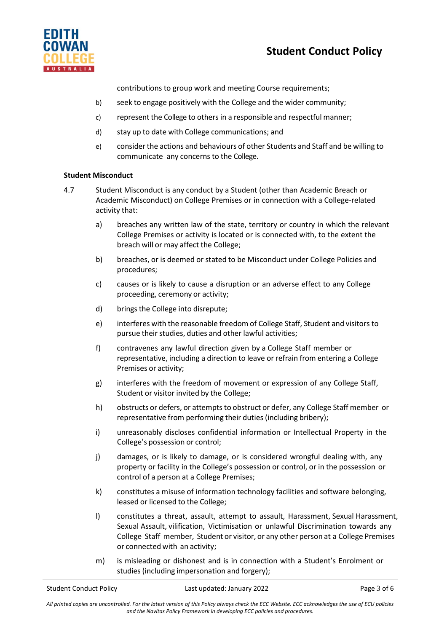



contributions to group work and meeting Course requirements;

- b) seek to engage positively with the College and the wider community;
- c) represent the College to others in a responsible and respectful manner;
- d) stay up to date with College communications; and
- e) considerthe actions and behaviours of other Students and Staff and be willing to communicate any concerns to the College.

## **Student Misconduct**

- 4.7 Student Misconduct is any conduct by a Student (other than Academic Breach or Academic Misconduct) on College Premises or in connection with a College-related activity that:
	- a) breaches any written law of the state, territory or country in which the relevant College Premises or activity is located or is connected with, to the extent the breach will or may affect the College;
	- b) breaches, or is deemed or stated to be Misconduct under College Policies and procedures;
	- c) causes or is likely to cause a disruption or an adverse effect to any College proceeding, ceremony or activity;
	- d) brings the College into disrepute;
	- e) interferes with the reasonable freedom of College Staff, Student and visitors to pursue their studies, duties and other lawful activities;
	- f) contravenes any lawful direction given by a College Staff member or representative, including a direction to leave or refrain from entering a College Premises or activity;
	- g) interferes with the freedom of movement or expression of any College Staff, Student or visitor invited by the College;
	- h) obstructs or defers, or attempts to obstruct or defer, any College Staff member or representative from performing their duties (including bribery);
	- i) unreasonably discloses confidential information or Intellectual Property in the College's possession or control;
	- j) damages, or is likely to damage, or is considered wrongful dealing with, any property or facility in the College's possession or control, or in the possession or control of a person at a College Premises;
	- k) constitutes a misuse of information technology facilities and software belonging, leased or licensed to the College;
	- l) constitutes a threat, assault, attempt to assault, Harassment, Sexual Harassment, Sexual Assault, vilification, Victimisation or unlawful Discrimination towards any College Staff member, Student or visitor, or any other person at a College Premises or connected with an activity;
	- m) is misleading or dishonest and is in connection with a Student's Enrolment or studies(including impersonation and forgery);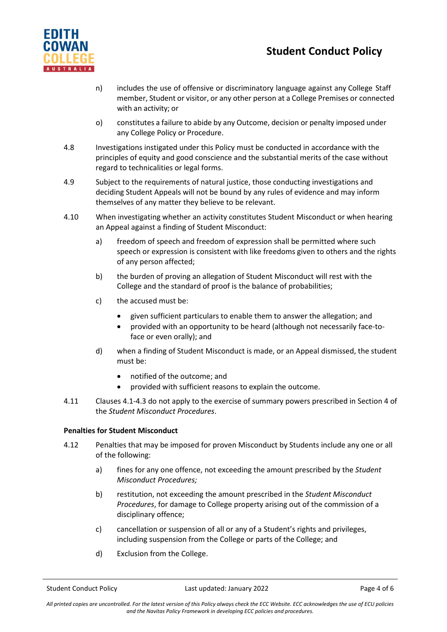# **Student Conduct Policy**



- n) includes the use of offensive or discriminatory language against any College Staff member, Student or visitor, or any other person at a College Premises or connected with an activity; or
- o) constitutes a failure to abide by any Outcome, decision or penalty imposed under any College Policy or Procedure.
- 4.8 Investigations instigated under this Policy must be conducted in accordance with the principles of equity and good conscience and the substantial merits of the case without regard to technicalities or legal forms.
- 4.9 Subject to the requirements of natural justice, those conducting investigations and deciding Student Appeals will not be bound by any rules of evidence and may inform themselves of any matter they believe to be relevant.
- 4.10 When investigating whether an activity constitutes Student Misconduct or when hearing an Appeal against a finding of Student Misconduct:
	- a) freedom of speech and freedom of expression shall be permitted where such speech or expression is consistent with like freedoms given to others and the rights of any person affected;
	- b) the burden of proving an allegation of Student Misconduct will rest with the College and the standard of proof is the balance of probabilities;
	- c) the accused must be:
		- given sufficient particulars to enable them to answer the allegation; and
		- provided with an opportunity to be heard (although not necessarily face-toface or even orally); and
	- d) when a finding of Student Misconduct is made, or an Appeal dismissed, the student must be:
		- notified of the outcome; and
		- provided with sufficient reasons to explain the outcome.
- 4.11 Clauses 4.1-4.3 do not apply to the exercise of summary powers prescribed in Section 4 of the *Student Misconduct Procedures*.

# **Penalties for Student Misconduct**

- 4.12 Penalties that may be imposed for proven Misconduct by Students include any one or all of the following:
	- a) fines for any one offence, not exceeding the amount prescribed by the *Student Misconduct Procedures;*
	- b) restitution, not exceeding the amount prescribed in the *Student Misconduct Procedures*, for damage to College property arising out of the commission of a disciplinary offence;
	- c) cancellation or suspension of all or any of a Student's rights and privileges, including suspension from the College or parts of the College; and
	- d) Exclusion from the College.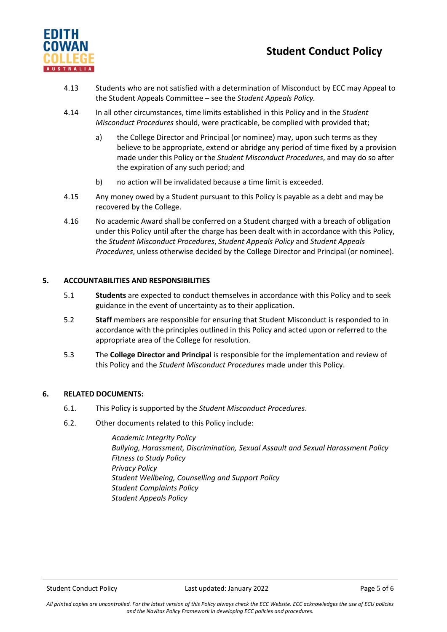

# **Student Conduct Policy**

- 4.13 Students who are not satisfied with a determination of Misconduct by ECC may Appeal to the Student Appeals Committee – see the *Student Appeals Policy.*
- 4.14 In all other circumstances, time limits established in this Policy and in the *Student Misconduct Procedures* should, were practicable, be complied with provided that;
	- a) the College Director and Principal (or nominee) may, upon such terms as they believe to be appropriate, extend or abridge any period of time fixed by a provision made under this Policy or the *Student Misconduct Procedures*, and may do so after the expiration of any such period; and
	- b) no action will be invalidated because a time limit is exceeded.
- 4.15 Any money owed by a Student pursuant to this Policy is payable as a debt and may be recovered by the College.
- 4.16 No academic Award shall be conferred on a Student charged with a breach of obligation under this Policy until after the charge has been dealt with in accordance with this Policy, the *Student Misconduct Procedures*, *Student Appeals Policy* and *Student Appeals Procedures*, unless otherwise decided by the College Director and Principal (or nominee).

# **5. ACCOUNTABILITIES AND RESPONSIBILITIES**

- 5.1 **Students** are expected to conduct themselves in accordance with this Policy and to seek guidance in the event of uncertainty as to their application.
- 5.2 **Staff** members are responsible for ensuring that Student Misconduct is responded to in accordance with the principles outlined in this Policy and acted upon or referred to the appropriate area of the College for resolution.
- 5.3 The **College Director and Principal** is responsible for the implementation and review of this Policy and the *Student Misconduct Procedures* made under this Policy.

## **6. RELATED DOCUMENTS:**

- 6.1. This Policy is supported by the *Student Misconduct Procedures*.
- 6.2. Other documents related to this Policy include:

*Academic Integrity Policy Bullying, Harassment, Discrimination, Sexual Assault and Sexual Harassment Policy Fitness to Study Policy Privacy Policy Student Wellbeing, Counselling and Support Policy Student Complaints Policy Student Appeals Policy*